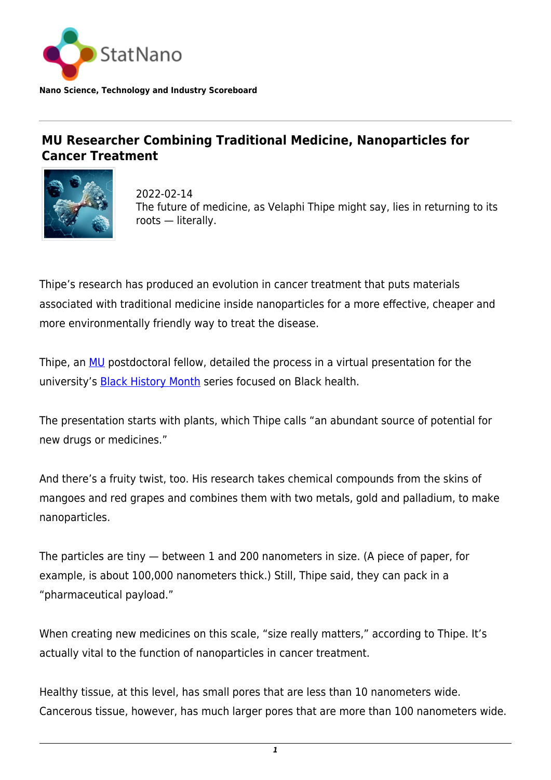

**Nano Science, Technology and Industry Scoreboard**

## **MU Researcher Combining Traditional Medicine, Nanoparticles for Cancer Treatment**



2022-02-14 The future of medicine, as Velaphi Thipe might say, lies in returning to its roots — literally.

Thipe's research has produced an evolution in cancer treatment that puts materials associated with traditional medicine inside nanoparticles for a more effective, cheaper and more environmentally friendly way to treat the disease.

Thipe, an [MU](https://statnano.com/org/University-of-Missouri) postdoctoral fellow, detailed the process in a virtual presentation for the university's [Black History Month](https://www.essex.ac.uk/event-series/black-history-month) series focused on Black health.

The presentation starts with plants, which Thipe calls "an abundant source of potential for new drugs or medicines."

And there's a fruity twist, too. His research takes chemical compounds from the skins of mangoes and red grapes and combines them with two metals, gold and palladium, to make nanoparticles.

The particles are tiny — between 1 and 200 nanometers in size. (A piece of paper, for example, is about 100,000 nanometers thick.) Still, Thipe said, they can pack in a "pharmaceutical payload."

When creating new medicines on this scale, "size really matters," according to Thipe. It's actually vital to the function of nanoparticles in cancer treatment.

Healthy tissue, at this level, has small pores that are less than 10 nanometers wide. Cancerous tissue, however, has much larger pores that are more than 100 nanometers wide.